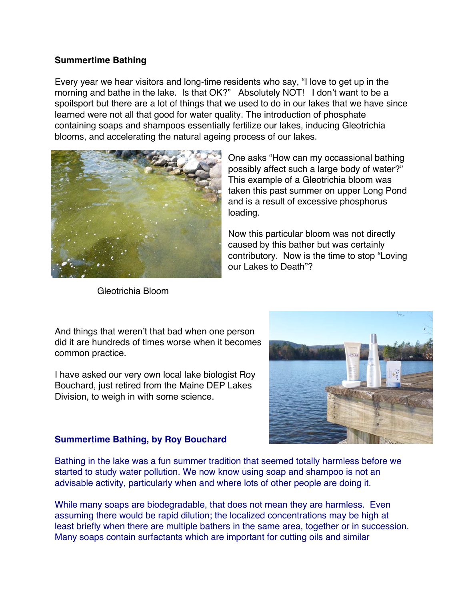## **Summertime Bathing**

Every year we hear visitors and long-time residents who say, "I love to get up in the morning and bathe in the lake. Is that OK?" Absolutely NOT! I don't want to be a spoilsport but there are a lot of things that we used to do in our lakes that we have since learned were not all that good for water quality. The introduction of phosphate containing soaps and shampoos essentially fertilize our lakes, inducing Gleotrichia blooms, and accelerating the natural ageing process of our lakes.



Gleotrichia Bloom

One asks "How can my occassional bathing possibly affect such a large body of water?" This example of a Gleotrichia bloom was taken this past summer on upper Long Pond and is a result of excessive phosphorus loading.

Now this particular bloom was not directly caused by this bather but was certainly contributory. Now is the time to stop "Loving our Lakes to Death"?

And things that weren't that bad when one person did it are hundreds of times worse when it becomes common practice.

I have asked our very own local lake biologist Roy Bouchard, just retired from the Maine DEP Lakes Division, to weigh in with some science.



## **Summertime Bathing, by Roy Bouchard**

Bathing in the lake was a fun summer tradition that seemed totally harmless before we started to study water pollution. We now know using soap and shampoo is not an advisable activity, particularly when and where lots of other people are doing it.

While many soaps are biodegradable, that does not mean they are harmless. Even assuming there would be rapid dilution; the localized concentrations may be high at least briefly when there are multiple bathers in the same area, together or in succession. Many soaps contain surfactants which are important for cutting oils and similar